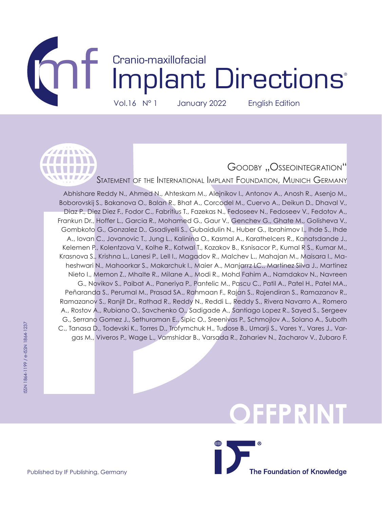



## GOODBY "OSSEOINTEGRATION"

Statement of the International Implant Foundation, Munich Germany

Abhishare Reddy N., Ahmed N., Ahteskam M., Alejnikov I., Antonov A., Anosh R., Asenjo M., Boborovskij S., Bakanova O., Balan R., Bhat A., Corcodel M., Cuervo A., Deikun D., Dhaval V., Diaz P., Diez Diez F., Fodor C., Fabritius T., Fazekas N., Fedoseev N., Fedoseev V., Fedotov A., Frankun Dr., Hoffer L., Garcia R., Mohamed G., Gaur V., Genchev G., Ghate M., Golisheva V., Gombkoto G., Gonzalez D., Gsadiyelli S., Gubaidulin N., Huber G., Ibrahimov I., Ihde S., Ihde A., Iovan C., Jovanovic T., Jung L., Kalinina O., Kasmal A., Karathelcers R., Kanatsdande J., Kelemen P., Kolentzova V., Kolhe R., Kotwal T., Kozakov B., Ksnisacor P., Kumal R S., Kumar M., Krasnova S., Krishna L., Lanesi P., Lell I., Magadov R., Malchev L., Mahajan M., Maisara I., Maheshwari N., Mahoorkar S., Makarchuk I., Maier A., Manjarrz LC., Martinez Silva J., Martinez Nieto I., Memon Z., Mhalte R., Milane A., Modi R., Mohd Fahim A., Namdakov N., Navreen G., Novikov S., Paibat A., Paneriya P., Pantelic M., Pascu C., Patil A., Patel H., Patel MA., Peñaranda S., Perumal M., Prasad SA., Rahmaan F., Rajan S., Rajendiran S., Ramazanov R., Ramazanov S., Ranjit Dr., Rathad R., Reddy N., Reddi L., Reddy S., Rivera Navarro A., Romero A., Rostov A., Rubiano O., Savchenko O., Sadigade A., Santiago Lopez R., Sayed S., Sergeev G., Serrano Gomez J., Sethuraman E., Sipic O., Sreenivas P., Schmojlov A., Solano A., Suboth C., Tanasa D., Todevski K., Torres D., Trofymchuk H., Tudose B., Umarji S., Vares Y., Vares J., Vargas M., Viveros P., Wage L., Vamshidar B., Varsada R., Zahariev N., Zacharov V., Zubaro F.

## **OFFPRINT**

**The Foundation of Knowledge**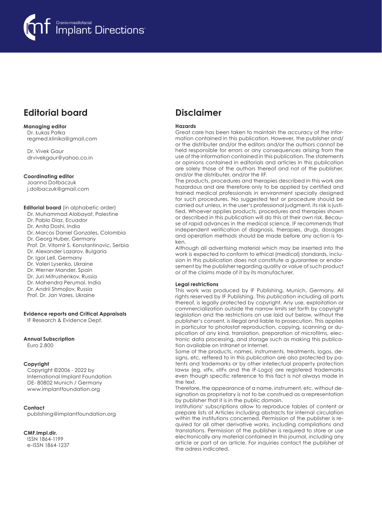

## **Editorial board**

**Managing editor**  Dr. Łukas Pałka regmed.klinika@gmail.com

Dr. Vivek Gaur drvivekgaur@yahoo.co.in

#### **Coordinating editor**

Joanna Dołbaczuk j.dolbaczuk@gmail.com

**Editorial board** (in alphabetic order) Dr. Muhammad Alobayat, Palestine Dr. Pablo Diaz, Ecuador Dr. Anita Doshi, India Dr. Marcos Daniel Gonzales, Colombia Dr. Georg Huber, Germany Prof. Dr. Vitomir S. Konstantinovic, Serbia Dr. Alexander Lazarov, Bulgaria Dr. Igor Lell, Germany Dr. Valeri Lysenko, Ukraine Dr. Werner Mander, Spain Dr. Juri Mitrushenkov, Russia Dr. Mahendra Perumal, India Dr. Andrii Shmojlov, Russia Prof. Dr. Jan Vares, Ukraine

#### **Evidence reports and Critical Appraisals**

IF Research & Evidence Dept.

#### **Annual Subscription**

Euro 2.800

#### **Copyright**

Copyright ©2006 - 2022 by International Implant Foundation DE- 80802 Munich / Germany www.implantfoundation.org

#### **Contact**

publishing@implantfoundation.org

#### **CMF.Impl.dir.**

ISSN 1864-1199 e-ISSN 1864-1237

## **Disclaimer**

#### **Hazards**

Great care has been taken to maintain the accuracy of the information contained in this publication. However, the publisher and/ or the distributer and/or the editors and/or the authors cannot be held responsible for errors or any consequences arising from the use of the information contained in this publication. The statements or opinions contained in editorials and articles in this publication are solely those of the authors thereof and not of the publisher, and/or the distributer, and/or the IIF.

The products, procedures and therapies described in this work are hazardous and are therefore only to be applied by certified and trained medical professionals in environment specially designed for such procedures. No suggested test or procedure should be carried out unless, in the user's professional judgment, its risk is justified. Whoever applies products, procedures and therapies shown or described in this publication will do this at their own risk. Because of rapid advances in the medical science, IF recommends that independent verification of diagnosis, therapies, drugs, dosages and operation methods should be made before any action is taken.

Although all advertising material which may be inserted into the work is expected to conform to ethical (medical) standards, inclusion in this publication does not constitute a guarantee or endorsement by the publisher regarding quality or value of such product or of the claims made of it by its manufacturer.

#### **Legal restrictions**

This work was produced by IF Publishing, Munich, Germany. All rights reserved by IF Publishing. This publication including all parts thereof, is legally protected by copyright. Any use, exploitation or commercialization outside the narrow limits set forth by copyright legislation and the restrictions on use laid out below, without the publisher's consent, is illegal and liable to prosecution. This applies in particular to photostat reproduction, copying, scanning or duplication of any kind, translation, preparation of microfilms, electronic data processing, and storage such as making this publication available on Intranet or Internet.

Some of the products, names, instruments, treatments, logos, designs, etc. reffered to in this publication are also protected by patents and trademarks or by other intellectual property protection laws« (eg. «IF«, «IIF« and the IF-Logo) are registered trademarks even though specific reference to this fact is not always made in the text.

Therefore, the appearance of a name, instrument, etc. without designation as proprietary is not to be construed as a representation by publisher that it is in the public domain.

Institutions' subscriptions allow to reproduce tables of content or prepare lists of Articles including abstracts for internal circulation within the institutions concerned. Permission of the publisher is required for all other derivative works, including compilations and translations. Permission of the publisher is required to store or use electronically any material contained in this journal, including any article or part of an article. For inquiries contact the publisher at the adress indicated.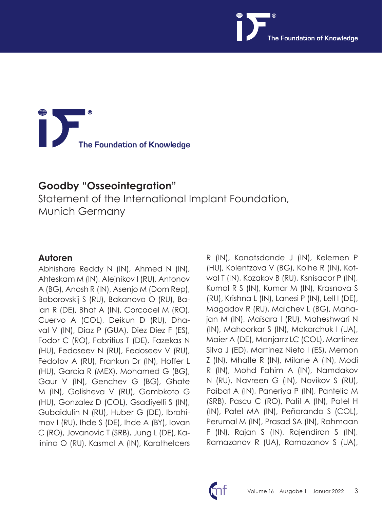

# **The Foundation of Knowledge**

## **Goodby "Osseointegration"**

Statement of the International Implant Foundation, Munich Germany

## **Autoren**

Abhishare Reddy N (IN), Ahmed N (IN), Ahteskam M (IN), Alejnikov I (RU), Antonov A (BG), Anosh R (IN), Asenjo M (Dom Rep), Boborovskij S (RU), Bakanova O (RU), Balan R (DE), Bhat A (IN), Corcodel M (RO), Cuervo A (COL), Deikun D (RU), Dhaval V (IN), Diaz P (GUA), Diez Diez F (ES), Fodor C (RO), Fabritius T (DE), Fazekas N (HU), Fedoseev N (RU), Fedoseev V (RU), Fedotov A (RU), Frankun Dr (IN), Hoffer L (HU), Garcia R (MEX), Mohamed G (BG), Gaur V (IN), Genchev G (BG), Ghate M (IN), Golisheva V (RU), Gombkoto G (HU), Gonzalez D (COL), Gsadiyelli S (IN), Gubaidulin N (RU), Huber G (DE), Ibrahimov I (RU), Ihde S (DE), Ihde A (BY), Iovan C (RO), Jovanovic T (SRB), Jung L (DE), Kalinina O (RU), Kasmal A (IN), Karathelcers

R (IN), Kanatsdande J (IN), Kelemen P (HU), Kolentzova V (BG), Kolhe R (IN), Kotwal T (IN), Kozakov B (RU), Ksnisacor P (IN), Kumal R S (IN), Kumar M (IN), Krasnova S (RU), Krishna L (IN), Lanesi P (IN), Lell I (DE), Magadov R (RU), Malchev L (BG), Mahajan M (IN), Maisara I (RU), Maheshwari N (IN), Mahoorkar S (IN), Makarchuk I (UA), Maier A (DE), Manjarrz LC (COL), Martinez Silva J (ED), Martinez Nieto I (ES), Memon Z (IN), Mhalte R (IN), Milane A (IN), Modi R (IN), Mohd Fahim A (IN), Namdakov N (RU), Navreen G (IN), Novikov S (RU), Paibat A (IN), Paneriya P (IN), Pantelic M (SRB), Pascu C (RO), Patil A (IN), Patel H (IN), Patel MA (IN), Peñaranda S (COL), Perumal M (IN), Prasad SA (IN), Rahmaan F (IN), Rajan S (IN), Rajendiran S (IN), Ramazanov R (UA), Ramazanov S (UA),

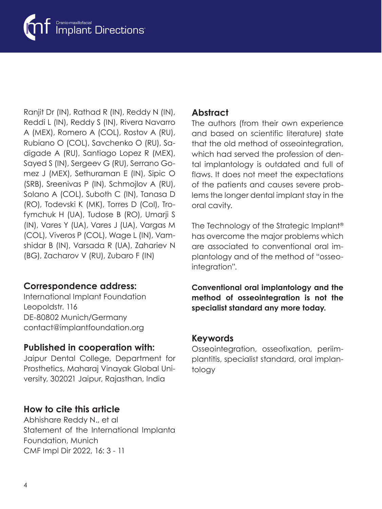

Ranjit Dr (IN), Rathad R (IN), Reddy N (IN), Reddi L (IN), Reddy S (IN), Rivera Navarro A (MEX), Romero A (COL), Rostov A (RU), Rubiano O (COL), Savchenko O (RU), Sadigade A (RU), Santiago Lopez R (MEX), Sayed S (IN), Sergeev G (RU), Serrano Gomez J (MEX), Sethuraman E (IN), Sipic O (SRB), Sreenivas P (IN), Schmojlov A (RU), Solano A (COL), Suboth C (IN), Tanasa D (RO), Todevski K (MK), Torres D (Col), Trofymchuk H (UA), Tudose B (RO), Umarji S (IN), Vares Y (UA), Vares J (UA), Vargas M (COL), Viveros P (COL), Wage L (IN), Vamshidar B (IN), Varsada R (UA), Zahariev N (BG), Zacharov V (RU), Zubaro F (IN)

## **Correspondence address:**

International Implant Foundation Leopoldstr. 116 DE-80802 Munich/Germany contact@implantfoundation.org

## **Published in cooperation with:**

Jaipur Dental College, Department for Prosthetics, Maharaj Vinayak Global University, 302021 Jaipur, Rajasthan, India

## **How to cite this article**

Abhishare Reddy N., et al Statement of the International Implanta Foundation, Munich CMF Impl Dir 2022, 16: 3 - 11

## **Abstract**

The authors (from their own experience and based on scientific literature) state that the old method of osseointegration, which had served the profession of dental implantology is outdated and full of flaws. It does not meet the expectations of the patients and causes severe problems the longer dental implant stay in the oral cavity.

The Technology of the Strategic Implant® has overcome the major problems which are associated to conventional oral implantology and of the method of "osseointegration".

**Conventional oral implantology and the method of osseointegration is not the specialist standard any more today.**

### **Keywords**

Osseointegration, osseofixation, periimplantitis, specialist standard, oral implantology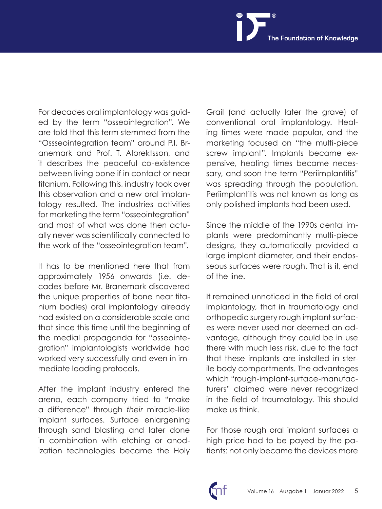For decades oral implantology was guided by the term "osseointegration". We are told that this term stemmed from the "Ossseointegration team" around P.I. Branemark and Prof. T. Albrektsson, and it describes the peaceful co-existence between living bone if in contact or near titanium. Following this, industry took over this observation and a new oral implantology resulted. The industries activities for marketing the term "osseointegration" and most of what was done then actually never was scientifically connected to the work of the "osseointegration team".

It has to be mentioned here that from approximately 1956 onwards (i.e. decades before Mr. Branemark discovered the unique properties of bone near titanium bodies) oral implantology already had existed on a considerable scale and that since this time until the beginning of the medial propaganda for "osseointegration" implantologists worldwide had worked very successfully and even in immediate loading protocols.

After the implant industry entered the arena, each company tried to "make a difference" through *their* miracle-like implant surfaces. Surface enlargening through sand blasting and later done in combination with etching or anodization technologies became the Holy

Grail (and actually later the grave) of conventional oral implantology. Healing times were made popular, and the marketing focused on "the multi-piece screw implant". Implants became expensive, healing times became necessary, and soon the term "Periimplantitis" was spreading through the population. Periimplantitis was not known as long as only polished implants had been used.

Since the middle of the 1990s dental implants were predominantly multi-piece designs, they automatically provided a large implant diameter, and their endosseous surfaces were rough. That is it, end of the line.

It remained unnoticed in the field of oral implantology, that in traumatology and orthopedic surgery rough implant surfaces were never used nor deemed an advantage, although they could be in use there with much less risk, due to the fact that these implants are installed in sterile body compartments. The advantages which "rough-implant-surface-manufacturers" claimed were never recognized in the field of traumatology. This should make us think.

For those rough oral implant surfaces a high price had to be payed by the patients: not only became the devices more

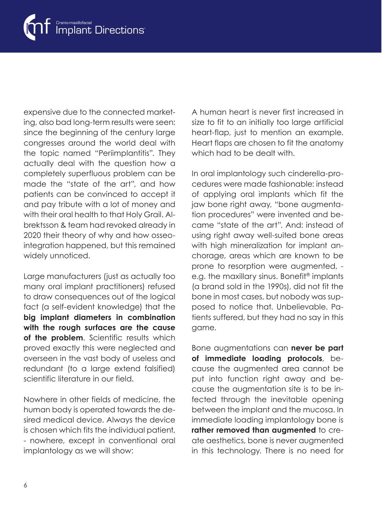

expensive due to the connected marketing, also bad long-term results were seen: since the beginning of the century large congresses around the world deal with the topic named "Periimplantitis". They actually deal with the question how a completely superfluous problem can be made the "state of the art", and how patients can be convinced to accept it and pay tribute with a lot of money and with their oral health to that Holy Grail. Albrektsson & team had revoked already in 2020 their theory of why and how osseointegration happened, but this remained widely unnoticed.

Large manufacturers (just as actually too many oral implant practitioners) refused to draw consequences out of the logical fact (a self-evident knowledge) that the **big implant diameters in combination with the rough surfaces are the cause**  of the problem. Scientific results which proved exactly this were neglected and overseen in the vast body of useless and redundant (to a large extend falsified) scientific literature in our field.

Nowhere in other fields of medicine, the human body is operated towards the desired medical device. Always the device is chosen which fits the individual patient, - nowhere, except in conventional oral implantology as we will show:

A human heart is never first increased in size to fit to an initially too large artificial heart-flap, just to mention an example. Heart flaps are chosen to fit the anatomy which had to be dealt with.

In oral implantology such cinderella-procedures were made fashionable: instead of applying oral implants which fit the jaw bone right away, "bone augmentation procedures" were invented and became "state of the art". And: instead of using right away well-suited bone areas with high mineralization for implant anchorage, areas which are known to be prone to resorption were augmented, e.g. the maxillary sinus. Bonefit® implants (a brand sold in the 1990s), did not fit the bone in most cases, but nobody was supposed to notice that. Unbelievable. Patients suffered, but they had no say in this game.

Bone augmentations can **never be part of immediate loading protocols**, because the augmented area cannot be put into function right away and because the augmentation site is to be infected through the inevitable opening between the implant and the mucosa. In immediate loading implantology bone is **rather removed than augmented** to create aesthetics, bone is never augmented in this technology. There is no need for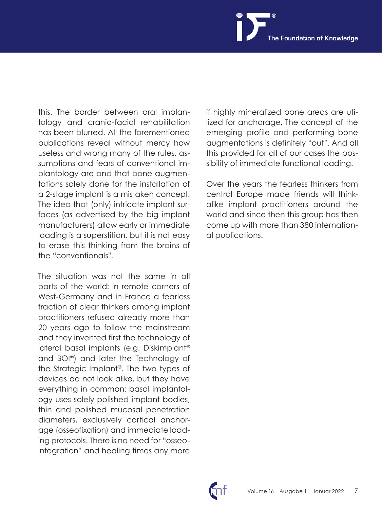this. The border between oral implantology and cranio-facial rehabilitation has been blurred. All the forementioned publications reveal without mercy how useless and wrong many of the rules, assumptions and fears of conventional implantology are and that bone augmentations solely done for the installation of a 2-stage implant is a mistaken concept. The idea that (only) intricate implant surfaces (as advertised by the big implant manufacturers) allow early or immediate loading is a superstition, but it is not easy to erase this thinking from the brains of the "conventionals".

The situation was not the same in all parts of the world: in remote corners of West-Germany and in France a fearless fraction of clear thinkers among implant practitioners refused already more than 20 years ago to follow the mainstream and they invented first the technology of lateral basal implants (e.g. Diskimplant® and BOI®) and later the Technology of the Strategic Implant®. The two types of devices do not look alike, but they have everything in common: basal implantology uses solely polished implant bodies, thin and polished mucosal penetration diameters, exclusively cortical anchorage (osseofixation) and immediate loading protocols. There is no need for "osseointegration" and healing times any more if highly mineralized bone areas are utilized for anchorage. The concept of the emerging profile and performing bone augmentations is definitely "out". And all this provided for all of our cases the possibility of immediate functional loading.

Over the years the fearless thinkers from central Europe made friends will thinkalike implant practitioners around the world and since then this group has then come up with more than 380 international publications.

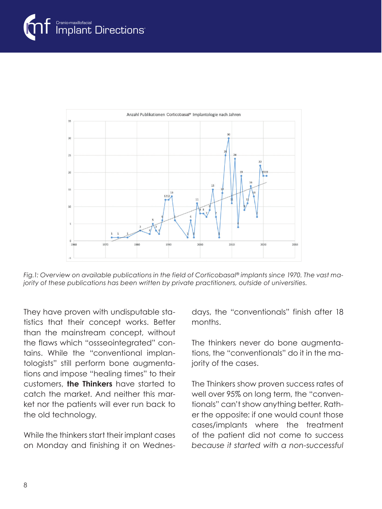

*Fig.1: Overview on available publications in the field of Corticobasal® implants since 1970. The vast majority of these publications has been written by private practitioners, outside of universities.*

They have proven with undisputable statistics that their concept works. Better than the mainstream concept, without the flaws which "ossseointegrated" contains. While the "conventional implantologists" still perform bone augmentations and impose "healing times" to their customers, **the Thinkers** have started to catch the market. And neither this market nor the patients will ever run back to the old technology.

While the thinkers start their implant cases on Monday and finishing it on Wednesdays, the "conventionals" finish after 18 months.

The thinkers never do bone augmentations, the "conventionals" do it in the majority of the cases.

The Thinkers show proven success rates of well over 95% on long term, the "conventionals" can't show anything better. Rather the opposite: if one would count those cases/implants where the treatment of the patient did not come to success *because it started with a non-successful*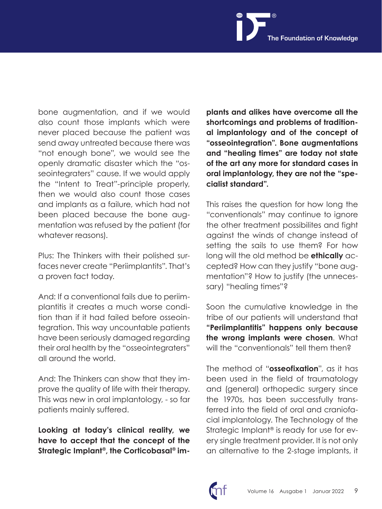bone augmentation, and if we would also count those implants which were never placed because the patient was send away untreated because there was "not enough bone", we would see the openly dramatic disaster which the "osseointegraters" cause. If we would apply the "Intent to Treat"-principle properly, then we would also count those cases and implants as a failure, which had not been placed because the bone augmentation was refused by the patient (for whatever reasons).

Plus: The Thinkers with their polished surfaces never create "Periimplantits". That's a proven fact today.

And: If a conventional fails due to periimplantitis it creates a much worse condition than if it had failed before osseointegration. This way uncountable patients have been seriously damaged regarding their oral health by the "osseointegraters" all around the world.

And: The Thinkers can show that they improve the quality of life with their therapy. This was new in oral implantology, - so far patients mainly suffered.

**Looking at today's clinical reality, we have to accept that the concept of the Strategic Implant®, the Corticobasal® im-**

**plants and alikes have overcome all the shortcomings and problems of traditional implantology and of the concept of "osseointegration". Bone augmentations and "healing times" are today not state of the art any more for standard cases in oral implantology, they are not the "specialist standard".**

This raises the question for how long the "conventionals" may continue to ignore the other treatment possibilites and fight against the winds of change instead of setting the sails to use them? For how long will the old method be **ethically** accepted? How can they justify "bone augmentation"? How to justify (the unnecessary) "healing times"?

Soon the cumulative knowledge in the tribe of our patients will understand that **"Periimplantitis" happens only because the wrong implants were chosen**. What will the "conventionals" tell them then?

The method of "**osseofixation**", as it has been used in the field of traumatology and (general) orthopedic surgery since the 1970s, has been successfully transferred into the field of oral and craniofacial implantology. The Technology of the Strategic Implant<sup>®</sup> is ready for use for every single treatment provider. It is not only an alternative to the 2-stage implants, it

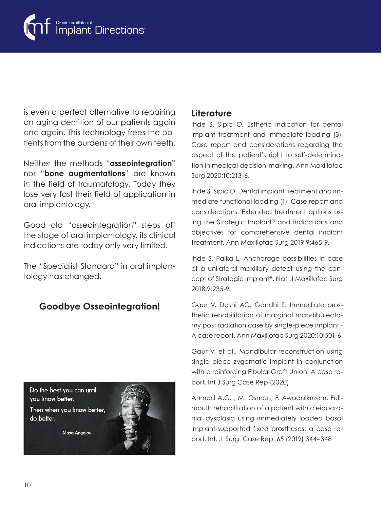

is even a perfect alternative to repairing an aging dentition of our patients again and again. This technology frees the patients from the burdens of their own teeth.

Neither the methods "**osseointegration**" nor "**bone augmentations**" are known in the field of traumatology. Today they lose very fast their field of application in oral implantology.

Good old "osseointegration" steps off the stage of oral implantology, its clinical indications are today only very limited.

The "Specialist Standard" in oral implantology has changed.

## **Goodbye Osseointegration!**



Ihde S, Sipic O. Esthetic indication for dental implant treatment and immediate loading (3). Case report and considerations regarding the aspect of the patient's right to self-determination in medical decision-making. Ann Maxillofac Surg 2020;10:213-6.

Ihde S, Sipic O. Dental implant treatment and immediate functional loading (1). Case report and considerations: Extended treatment options using the Strategic Implant® and indications and objectives for comprehensive dental implant treatment. Ann Maxillofac Surg 2019;9:465-9.

Ihde S, Palka L. Anchorage possibilities in case of a unilateral maxillary defect using the concept of Strategic Implant®. Natl J Maxillofac Surg 2018;9:235-9.

Gaur V, Doshi AG, Gandhi S. Immediate prosthetic rehabilitation of marginal mandibulectomy post radiation case by single-piece implant - A case report. Ann Maxillofac Surg 2020;10:501-6.

Gaur V, et al., Mandibular reconstruction using single piece zygomatic implant in conjunction with a reinforcing Fibular Graft Union: A case report, Int J Surg Case Rep (2020)

Ahmad A.G. , M. Osman, F. Awadalkreem, Fullmouth rehabilitation of a patient with cleidocranial dysplasia using immediately loaded basal implant-supported fixed prostheses: a case report, Int. J. Surg. Case Rep. 65 (2019) 344–348



Then when you know better, do better.

-Maya Angelou